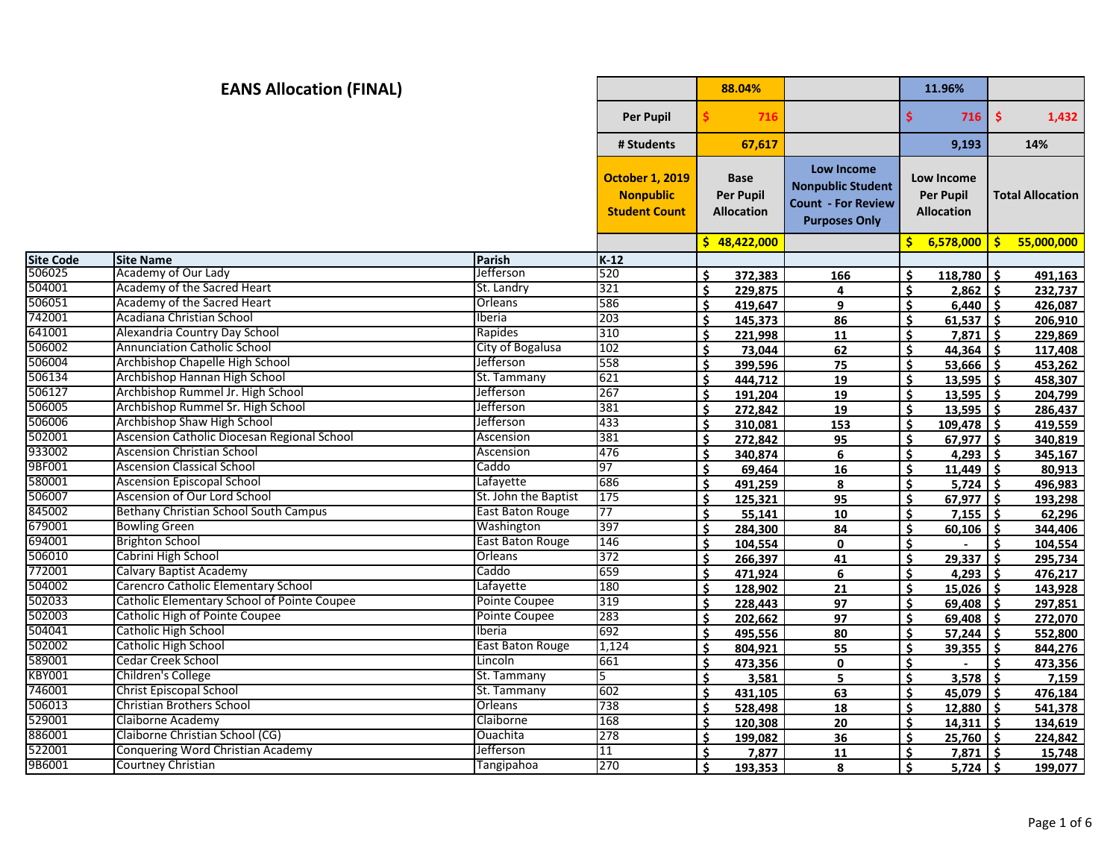|                  | <b>EANS Allocation (FINAL)</b>              |                         |                                                                    |     | 88.04%                                               |                                                                                                    |                    | 11.96%                                              |              |                         |
|------------------|---------------------------------------------|-------------------------|--------------------------------------------------------------------|-----|------------------------------------------------------|----------------------------------------------------------------------------------------------------|--------------------|-----------------------------------------------------|--------------|-------------------------|
|                  |                                             |                         | <b>Per Pupil</b>                                                   |     | 716                                                  |                                                                                                    | Ś.                 | 716                                                 | $\mathsf{S}$ | 1,432                   |
|                  |                                             |                         | # Students                                                         |     | 67,617                                               |                                                                                                    |                    | 9,193                                               |              | 14%                     |
|                  |                                             |                         | <b>October 1, 2019</b><br><b>Nonpublic</b><br><b>Student Count</b> |     | <b>Base</b><br><b>Per Pupil</b><br><b>Allocation</b> | <b>Low Income</b><br><b>Nonpublic Student</b><br><b>Count - For Review</b><br><b>Purposes Only</b> |                    | Low Income<br><b>Per Pupil</b><br><b>Allocation</b> |              | <b>Total Allocation</b> |
|                  |                                             |                         |                                                                    |     | \$48,422,000                                         |                                                                                                    | Š.                 | 6,578,000                                           | $\mathsf{S}$ | 55,000,000              |
| <b>Site Code</b> | <b>Site Name</b>                            | Parish                  | $K-12$                                                             |     |                                                      |                                                                                                    |                    |                                                     |              |                         |
| 506025           | Academy of Our Lady                         | <b>Jefferson</b>        | 520                                                                | Ś.  | 372.383                                              | 166                                                                                                | Ŝ.                 | 118,780                                             | l \$         | 491,163                 |
| 504001           | Academy of the Sacred Heart                 | St. Landry              | 321                                                                | \$  | 229,875                                              | 4                                                                                                  | \$                 | $2,862$ \$                                          |              | 232,737                 |
| 506051           | Academy of the Sacred Heart                 | Orleans                 | 586                                                                | Ś.  | 419.647                                              | 9                                                                                                  | Ś.                 | 6,440                                               | l s          | 426,087                 |
| 742001           | Acadiana Christian School                   | Iberia                  | 203                                                                | \$  | 145,373                                              | 86                                                                                                 | \$                 | $61,537$ \$                                         |              | 206,910                 |
| 641001           | Alexandria Country Day School               | Rapides                 | 310                                                                | Ś.  | 221,998                                              | 11                                                                                                 | \$                 | 7,871                                               | -Ś           | 229,869                 |
| 506002           | <b>Annunciation Catholic School</b>         | City of Bogalusa        | 102                                                                | \$  | 73,044                                               | 62                                                                                                 | \$                 | 44,364                                              | Ŝ.           | 117,408                 |
| 506004           | Archbishop Chapelle High School             | Jefferson               | 558                                                                | \$  | 399,596                                              | 75                                                                                                 | \$                 | $53,666$ \$                                         |              | 453,262                 |
| 506134           | Archbishop Hannan High School               | St. Tammany             | 621                                                                | Ś.  | 444,712                                              | 19                                                                                                 | Ŝ.                 | $13,595$ \$                                         |              | 458,307                 |
| 506127           | Archbishop Rummel Jr. High School           | Jefferson               | 267                                                                | Ś.  | 191,204                                              | <u>19</u>                                                                                          | Ŝ.                 | $13,595$ \$                                         |              | 204,799                 |
| 506005           | Archbishop Rummel Sr. High School           | Jefferson               | 381                                                                | Ś.  | 272,842                                              | 19                                                                                                 | $\dot{\mathsf{s}}$ | $13,595$ \$                                         |              | 286,437                 |
| 506006           | Archbishop Shaw High School                 | Jefferson               | 433                                                                | Ś   | 310,081                                              | 153                                                                                                | $\mathsf{\hat{S}}$ | $109,478$ \$                                        |              | 419,559                 |
| 502001           | Ascension Catholic Diocesan Regional School | Ascension               | 381                                                                | \$  | 272,842                                              | 95                                                                                                 | Ś.                 | $67,977$ \$                                         |              | 340,819                 |
| 933002           | <b>Ascension Christian School</b>           | Ascension               | 476                                                                | Ś.  | 340.874                                              | 6                                                                                                  | Ŝ.                 | $4,293$ \$                                          |              | 345,167                 |
| 9BF001           | <b>Ascension Classical School</b>           | Caddo                   | 97                                                                 | Ś.  | 69,464                                               | 16                                                                                                 | Ŝ.                 | $11,449$ \$                                         |              | 80,913                  |
| 580001           | <b>Ascension Episcopal School</b>           | Lafayette               | 686                                                                | \$. | 491,259                                              | 8                                                                                                  | Ś.                 | 5,724                                               | ۱ś           | 496,983                 |
| 506007           | Ascension of Our Lord School                | St. John the Baptist    | 175                                                                | Ś   | 125,321                                              | 95                                                                                                 | \$                 | $67,977$ \$                                         |              | 193,298                 |
| 845002           | Bethany Christian School South Campus       | East Baton Rouge        | 77                                                                 | Ś   | 55,141                                               | 10                                                                                                 | \$                 | $7,155$ \$                                          |              | 62,296                  |
| 679001           | <b>Bowling Green</b>                        | Washington              | 397                                                                | \$  | 284,300                                              | 84                                                                                                 | Ŝ                  | $60,106$ \$                                         |              | 344,406                 |
| 694001           | <b>Brighton School</b>                      | <b>East Baton Rouge</b> | 146                                                                | Ś.  | 104,554                                              | 0                                                                                                  | Ŝ.                 | $\sim$                                              | Ŝ            | 104,554                 |
| 506010           | Cabrini High School                         | Orleans                 | 372                                                                | Ś.  | 266,397                                              | 41                                                                                                 | Ś.                 | $29,337$ \$                                         |              | 295,734                 |
| 772001           | Calvary Baptist Academy                     | Caddo                   | 659                                                                | Ś.  | 471,924                                              | 6                                                                                                  | \$                 | $4,293$ \$                                          |              | 476,217                 |
| 504002           | Carencro Catholic Elementary School         | Lafayette               | 180                                                                | Ś.  | 128,902                                              | 21                                                                                                 | Ś                  | 15,026                                              | Ŝ.           | 143,928                 |
| 502033           | Catholic Elementary School of Pointe Coupee | Pointe Coupee           | 319                                                                | \$  | 228,443                                              | 97                                                                                                 | $\mathsf{\hat{S}}$ | $69,408$ \$                                         |              | 297,851                 |
| 502003           | Catholic High of Pointe Coupee              | Pointe Coupee           | 283                                                                | Ś.  | 202,662                                              | 97                                                                                                 | $\dot{\mathsf{s}}$ | 69,408                                              | l s          | 272,070                 |
| 504041           | Catholic High School                        | Iberia                  | 692                                                                | Ś.  | 495,556                                              | 80                                                                                                 | Ś.                 | $57,244$ \$                                         |              | 552,800                 |
| 502002           | Catholic High School                        | East Baton Rouge        | 1,124                                                              | Ś.  | 804,921                                              | 55                                                                                                 | \$                 | 39,355                                              | ۱ś           | 844,276                 |
| 589001           | Cedar Creek School                          | Lincoln                 | 661                                                                | Ś.  | 473,356                                              | 0                                                                                                  | $\mathsf{\hat{S}}$ |                                                     | Ś.           | 473,356                 |
| <b>KBY001</b>    | Children's College                          | St. Tammany             | 5                                                                  | \$  | 3,581                                                | 5                                                                                                  | \$                 | 3,578                                               | Ś.           | 7,159                   |
| 746001           | Christ Episcopal School                     | St. Tammany             | 602                                                                | Ś.  | 431,105                                              | 63                                                                                                 | Ŝ                  | 45,079                                              | - Ś          | 476,184                 |
| 506013           | <b>Christian Brothers School</b>            | Orleans                 | 738                                                                | Ś.  | 528,498                                              | 18                                                                                                 | Ś.                 | $12,880$ \$                                         |              | 541,378                 |
| 529001           | Claiborne Academy                           | Claiborne               | 168                                                                | Ś.  | 120,308                                              | 20                                                                                                 | \$                 | 14,311                                              | Ŝ.           | 134,619                 |
| 886001           | Claiborne Christian School (CG)             | Ouachita                | 278                                                                | Ś.  | 199,082                                              | 36                                                                                                 | <b>S</b>           | $25,760$ \$                                         |              | 224,842                 |
| 522001           | Conquering Word Christian Academy           | Jefferson               | 11                                                                 | Ś.  | 7,877                                                | 11                                                                                                 | \$                 | $7,871$ \$                                          |              | 15,748                  |
| 9B6001           | Courtney Christian                          | Tangipahoa              | 270                                                                | \$  | 193,353                                              | 8                                                                                                  | Ś.                 | $5,724$ \$                                          |              | 199,077                 |
|                  |                                             |                         |                                                                    |     |                                                      |                                                                                                    |                    |                                                     |              |                         |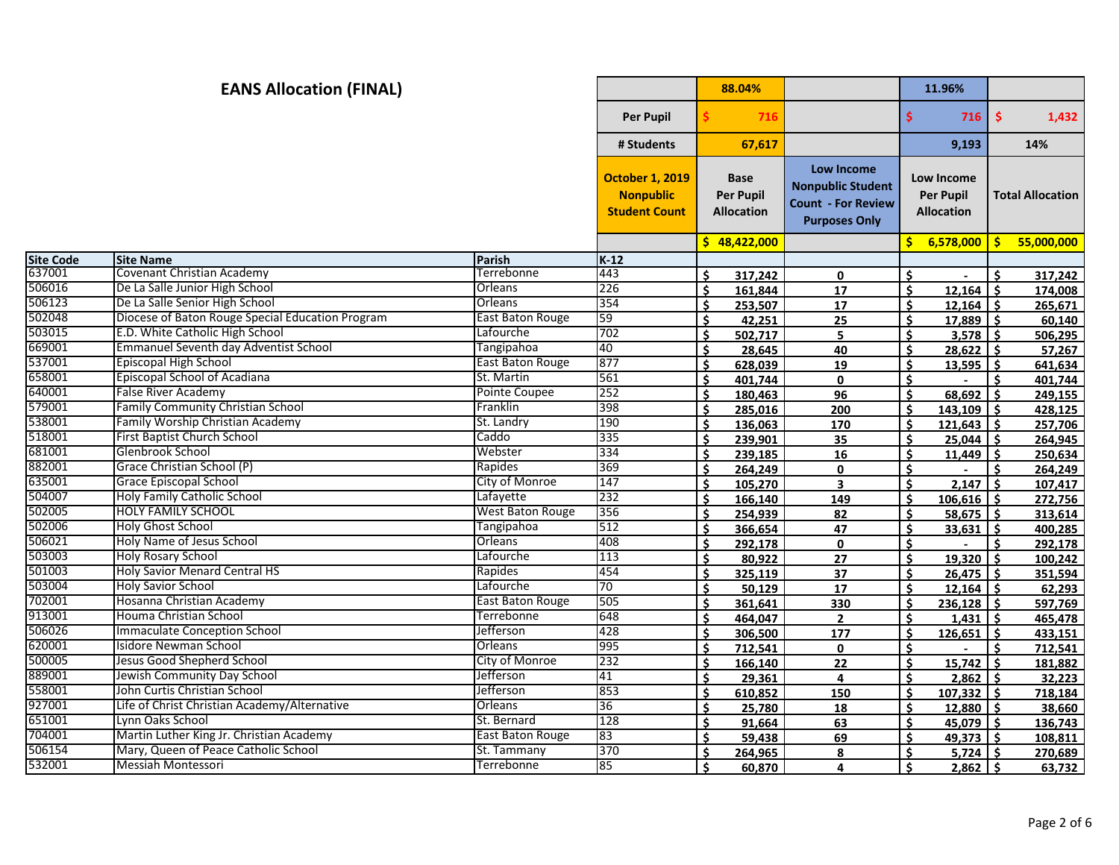## **88.04% 11.96% Per Pupil \$ 716 \$ 716 \$ 1,432 # Students 67,617 9,193 14% October 1, 2019 Nonpublic Student Count Base Per Pupil Allocation Low Income Nonpublic Student Count - For Review Purposes Only Low Income Per Pupil Allocation Total Allocation \$ 48,422,000 \$ 6,578,000 \$ 55,000,000 Site Code Site Name Parish K-12 EANS Allocation (FINAL)** Covenant Christian Academy Terrebonne 443 **\$ 317,242 0 \$ - \$ 317,242** De La Salle Junior High School Orleans 226 **\$ 161,844 17 \$ 12,164 \$ 174,008** De La Salle Senior High School Orleans 354 **\$ 253,507 17 \$ 12,164 \$ 265,671** Diocese of Baton Rouge Special Education Program East Baton Rouge 59 **\$ 42,251 25 \$ 17,889 \$ 60,140** E.D. White Catholic High School Lafourche 702 **\$ 502,717 5 \$ 3,578 \$ 506,295** Emmanuel Seventh day Adventist School Tangipahoa 40 **\$ 28,645 40 \$ 28,622 \$ 57,267** Episcopal High School East Baton Rouge 877 **\$ 628,039 19 \$ 13,595 \$ 641,634** Episcopal School of Acadiana St. Martin 561 **\$ 401,744 0 \$ - \$ 401,744** False River Academy Pointe Coupee 252 **\$ 180,463 96 \$ 68,692 \$ 249,155** Family Community Christian School Franklin 398 **\$ 285,016 200 \$ 143,109 \$ 428,125** Family Worship Christian Academy St. Landry 190 **\$ 136,063 170 \$ 121,643 \$ 257,706** First Baptist Church School Caddo 335 **\$ 239,901 35 \$ 25,044 \$ 264,945** Glenbrook School Webster 334 **\$ 239,185 16 \$ 11,449 \$ 250,634** Grace Christian School (P) Rapides 369 **\$ 264,249 0 \$ - \$ 264,249** Grace Episcopal School City of Monroe 147 **\$ 105,270 3 \$ 2,147 \$ 107,417** Holy Family Catholic School Lafayette 232 **\$ 166,140 149 \$ 106,616 \$ 272,756** HOLY FAMILY SCHOOL West Baton Rouge 356 **\$ 254,939 82 \$ 58,675 \$ 313,614** Holy Ghost School Tangipahoa 512 **\$ 366,654 47 \$ 33,631 \$ 400,285** Holy Name of Jesus School Orleans 408 **\$ 292,178 0 \$ - \$ 292,178** Holy Rosary School Lafourche 113 **\$ 80,922 27 \$ 19,320 \$ 100,242** Holy Savior Menard Central HS Rapides 454 **\$ 325,119 37 \$ 26,475 \$ 351,594** Holy Savior School Lafourche 70 **\$ 50,129 17 \$ 12,164 \$ 62,293** Hosanna Christian Academy East Baton Rouge 505 **\$ 361,641 330 \$ 236,128 \$ 597,769** Houma Christian School Terrebonne 648 **\$ 464,047 2 \$ 1,431 \$ 465,478** Immaculate Conception School Jefferson 428 **\$ 306,500 177 \$ 126,651 \$ 433,151** Isidore Newman School Orleans 995 **\$ 712,541 0 \$ - \$ 712,541** Jesus Good Shepherd School City of Monroe 232 **\$ 166,140 22 \$ 15,742 \$ 181,882** Jewish Community Day School Jefferson 41 **\$ 29,361 4 \$ 2,862 \$ 32,223** John Curtis Christian School Jefferson 853 **\$ 610,852 150 \$ 107,332 \$ 718,184** Life of Christ Christian Academy/Alternative Orleans 36 **\$ 25,780 18 \$ 12,880 \$ 38,660** Lynn Oaks School St. Bernard 128 **\$ 91,664 63 \$ 45,079 \$ 136,743** Martin Luther King Jr. Christian Academy East Baton Rouge 83 **\$ 59,438 69 \$ 49,373 \$ 108,811** Mary, Queen of Peace Catholic School St. Tammany 370 **\$ 264,965 8 \$ 5,724 \$ 270,689** Messiah Montessori Terrebonne 85 **\$ 60,870 4 \$ 2,862 \$ 63,732**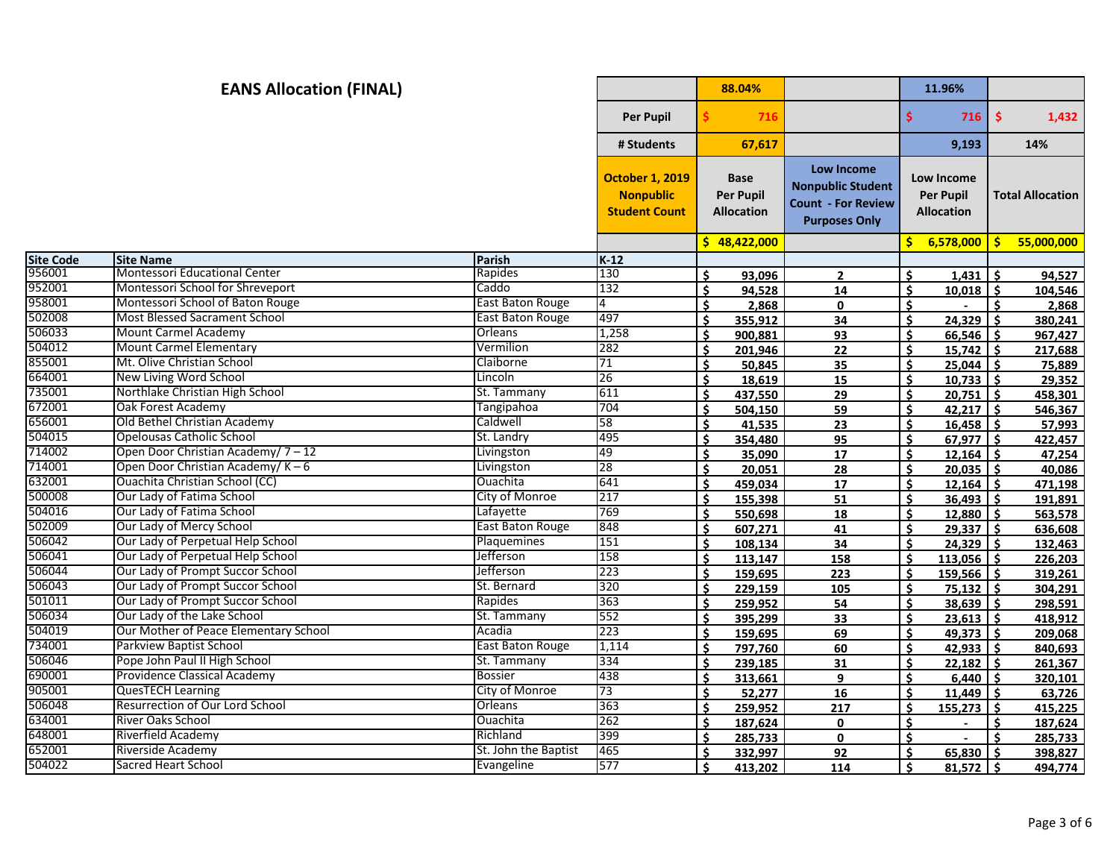|                  | <b>EANS Allocation (FINAL)</b>         |                         |                                                                    |    | 88.04%                                               |                                                                                                    |                    | 11.96%                                              |              |                         |
|------------------|----------------------------------------|-------------------------|--------------------------------------------------------------------|----|------------------------------------------------------|----------------------------------------------------------------------------------------------------|--------------------|-----------------------------------------------------|--------------|-------------------------|
|                  |                                        |                         | <b>Per Pupil</b>                                                   |    | 716                                                  |                                                                                                    | \$                 | 716                                                 | $\mathsf{S}$ | 1,432                   |
|                  |                                        |                         | # Students                                                         |    | 67,617                                               |                                                                                                    |                    | 9,193                                               |              | 14%                     |
|                  |                                        |                         | <b>October 1, 2019</b><br><b>Nonpublic</b><br><b>Student Count</b> |    | <b>Base</b><br><b>Per Pupil</b><br><b>Allocation</b> | <b>Low Income</b><br><b>Nonpublic Student</b><br><b>Count - For Review</b><br><b>Purposes Only</b> |                    | Low Income<br><b>Per Pupil</b><br><b>Allocation</b> |              | <b>Total Allocation</b> |
|                  |                                        |                         |                                                                    |    | \$48,422,000                                         |                                                                                                    | Ś.                 | 6,578,000                                           | S.           | 55,000,000              |
| <b>Site Code</b> | <b>Site Name</b>                       | Parish                  | $K-12$                                                             |    |                                                      |                                                                                                    |                    |                                                     |              |                         |
| 956001           | <b>Montessori Educational Center</b>   | Rapides                 | 130                                                                | Ś  | 93.096                                               | $\overline{2}$                                                                                     | Ś.                 | 1.431                                               | Ŝ            | 94,527                  |
| 952001           | Montessori School for Shreveport       | Caddo                   | 132                                                                | Ś  | 94,528                                               | 14                                                                                                 | Ś.                 | 10,018                                              | Ŝ.           | 104,546                 |
| 958001           | Montessori School of Baton Rouge       | <b>East Baton Rouge</b> | 4                                                                  | \$ | 2,868                                                | $\mathbf 0$                                                                                        | Ŝ.                 |                                                     | Ś.           | 2,868                   |
| 502008           | <b>Most Blessed Sacrament School</b>   | <b>East Baton Rouge</b> | 497                                                                | Ś  | 355,912                                              | 34                                                                                                 | \$                 | 24,329                                              | Ŝ            | 380,241                 |
| 506033           | <b>Mount Carmel Academy</b>            | Orleans                 | 1,258                                                              | \$ | 900.881                                              | 93                                                                                                 | Ś.                 | 66,546                                              | Ŝ.           | 967,427                 |
| 504012           | <b>Mount Carmel Elementary</b>         | Vermilion               | 282                                                                | Ś  | 201,946                                              | 22                                                                                                 | \$                 | $15,742$ \$                                         |              | 217,688                 |
| 855001           | Mt. Olive Christian School             | Claiborne               | $\overline{71}$                                                    | Ś  | 50,845                                               | 35                                                                                                 | \$                 | $25,044$ \$                                         |              | 75,889                  |
| 664001           | New Living Word School                 | Lincoln                 | 26                                                                 | Ś. | 18,619                                               | 15                                                                                                 | Ŝ.                 | $10,733$ \$                                         |              | 29,352                  |
| 735001           | Northlake Christian High School        | St. Tammany             | 611                                                                | Ś  | 437,550                                              | 29                                                                                                 | Ś.                 | $20,751$ \$                                         |              | 458,301                 |
| 672001           | Oak Forest Academy                     | Tangipahoa              | 704                                                                | Ś. | 504,150                                              | 59                                                                                                 | \$                 | $42,217$ \$                                         |              | 546,367                 |
| 656001           | Old Bethel Christian Academy           | Caldwell                | 58                                                                 | \$ | 41,535                                               | 23                                                                                                 | \$                 | $16,458$ \$                                         |              | 57,993                  |
| 504015           | Opelousas Catholic School              | St. Landry              | 495                                                                | \$ | 354,480                                              | 95                                                                                                 | Ś.                 | $67,977$ \$                                         |              | 422,457                 |
| 714002           | Open Door Christian Academy/7-12       | Livingston              | 49                                                                 | Ś. | 35,090                                               | 17                                                                                                 | Ś.                 | $12,164$ \$                                         |              | 47,254                  |
| 714001           | Open Door Christian Academy/ $K-6$     | Livingston              | 28                                                                 | Ś. | 20,051                                               | 28                                                                                                 | Ŝ.                 | $20,035$ \$                                         |              | 40,086                  |
| 632001           | Ouachita Christian School (CC)         | Ouachita                | 641                                                                | \$ | 459,034                                              | 17                                                                                                 | Ŝ.                 | 12,164                                              | -Ś           | 471,198                 |
| 500008           | Our Lady of Fatima School              | City of Monroe          | 217                                                                | Ś  | 155,398                                              | 51                                                                                                 | \$                 | 36,493                                              | Ŝ.           | 191,891                 |
| 504016           | Our Lady of Fatima School              | Lafayette               | 769                                                                | Ś  | 550,698                                              | 18                                                                                                 | \$                 | 12,880                                              | Ŝ.           | 563,578                 |
| 502009           | Our Lady of Mercy School               | <b>East Baton Rouge</b> | 848                                                                | Ś. | 607,271                                              | 41                                                                                                 | Ŝ.                 | $29,337$ \$                                         |              | 636,608                 |
| 506042           | Our Lady of Perpetual Help School      | Plaquemines             | 151                                                                | Ś. | 108,134                                              | 34                                                                                                 | Ŝ.                 | $24,329$ \$                                         |              | 132,463                 |
| 506041           | Our Lady of Perpetual Help School      | Jefferson               | 158                                                                | \$ | 113,147                                              | 158                                                                                                | Ś.                 | $113,056$   \$                                      |              | 226,203                 |
| 506044           | Our Lady of Prompt Succor School       | Jefferson               | $\overline{223}$                                                   | Ś. | 159,695                                              | 223                                                                                                | \$                 | $159,566$ \$                                        |              | 319,261                 |
| 506043           | Our Lady of Prompt Succor School       | St. Bernard             | 320                                                                | Ś  | 229,159                                              | 105                                                                                                | \$                 | 75,132                                              | Ŝ            | 304,291                 |
| 501011           | Our Lady of Prompt Succor School       | Rapides                 | 363                                                                | \$ | 259,952                                              | 54                                                                                                 | \$                 | $38,639$ \$                                         |              | 298,591                 |
| 506034           | Our Lady of the Lake School            | St. Tammany             | 552                                                                | \$ | 395,299                                              | 33                                                                                                 | Ŝ.                 | $23,613$ \$                                         |              | 418,912                 |
| 504019           | Our Mother of Peace Elementary School  | Acadia                  | 223                                                                | \$ | 159,695                                              | 69                                                                                                 | Ś.                 | $49.373$ 5                                          |              | 209,068                 |
| 734001           | <b>Parkview Baptist School</b>         | East Baton Rouge        | 1,114                                                              | Ś  | 797,760                                              | 60                                                                                                 | Ś.                 | $42,933$ \$                                         |              | 840,693                 |
| 506046           | Pope John Paul II High School          | St. Tammany             | 334                                                                | Ś  | 239.185                                              | 31                                                                                                 | Ś                  | 22.182                                              | Ŝ.           | 261,367                 |
| 690001           | Providence Classical Academy           | <b>Bossier</b>          | 438                                                                | Ś  | 313,661                                              | 9                                                                                                  | \$                 | 6,440                                               | Ŝ.           | 320,101                 |
| 905001           | <b>QuesTECH Learning</b>               | City of Monroe          | 73                                                                 | Ś  | 52,277                                               | 16                                                                                                 | Ś.                 | 11,449                                              | Ŝ.           | 63,726                  |
| 506048           | <b>Resurrection of Our Lord School</b> | Orleans                 | 363                                                                | \$ | 259,952                                              | 217                                                                                                | $\dot{\mathbf{S}}$ | 155,273                                             | Ŝ.           | 415,225                 |
| 634001           | <b>River Oaks School</b>               | Ouachita                | 262                                                                | Ś  | 187,624                                              | 0                                                                                                  | Ŝ.                 |                                                     | Ś.           | 187,624                 |
| 648001           | Riverfield Academy                     | Richland                | 399                                                                | ¢  | 285,733                                              | 0                                                                                                  | \$                 |                                                     |              | 285,733                 |
| 652001           | Riverside Academy                      | St. John the Baptist    | 465                                                                | Ś  | 332.997                                              | 92                                                                                                 | Ś.                 | 65.830                                              | . Ś          | 398,827                 |
| 504022           | Sacred Heart School                    | Evangeline              | 577                                                                | Ś. | 413.202                                              | 114                                                                                                | Ś.                 | $81,572$ \$                                         |              | 494,774                 |
|                  |                                        |                         |                                                                    |    |                                                      |                                                                                                    |                    |                                                     |              |                         |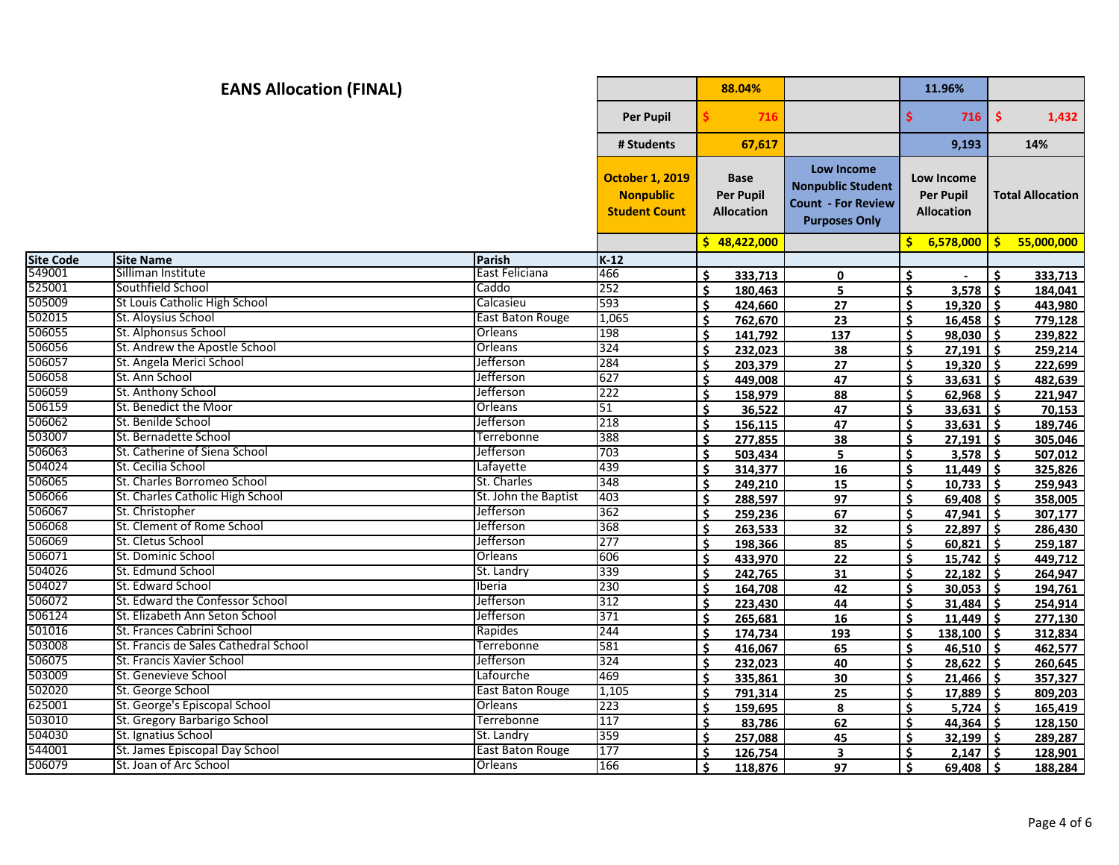| $\frac{1}{2}$<br><b>Per Pupil</b><br>\$<br>716<br>716<br>67,617<br>9,193<br># Students<br>14%<br><b>Low Income</b><br><b>October 1, 2019</b><br><b>Base</b><br>Low Income<br><b>Nonpublic Student</b><br><b>Nonpublic</b><br><b>Per Pupil</b><br><b>Per Pupil</b><br><b>Total Allocation</b><br><b>Count - For Review</b><br><b>Student Count</b><br><b>Allocation</b><br><b>Allocation</b><br><b>Purposes Only</b><br>\$48,422,000<br>\$6,578,000<br>S.<br><b>Site Code</b><br><b>Site Name</b><br>Parish<br>$K-12$<br>549001<br>Silliman Institute<br>East Feliciana<br>466<br>Ś.<br>Ś.<br>Ś.<br>333.713<br>0<br>525001<br>Southfield School<br>Caddo<br>252<br>180,463<br>Ś.<br>3,578<br>Ŝ.<br>Ś.<br>5<br>184,041<br>505009<br>St Louis Catholic High School<br>593<br>Calcasieu<br>27<br><b>S</b><br>Ś.<br>424,660<br>$19.320$ 5<br>443,980<br>502015<br>St. Aloysius School<br>East Baton Rouge<br>1,065<br>\$<br>\$.<br>$16,458$ \$<br>762,670<br>23<br>506055<br>St. Alphonsus School<br>198<br>Orleans<br>$\dot{\mathsf{s}}$<br>141,792<br>137<br>$98,030$ \$<br>\$<br>239,822<br>506056<br>St. Andrew the Apostle School<br>Orleans<br>324<br>Ś<br>\$<br>Ŝ.<br>232.023<br>38<br>27.191<br>506057<br>St. Angela Merici School<br>Jefferson<br>284<br>19,320<br>Ś<br>203,379<br>Ś.<br>222,699<br>27<br>l \$<br>506058<br>St. Ann School<br>Jefferson<br>627<br>47<br>Ŝ.<br>$33,631$ \$<br>Ŝ.<br>449.008<br>482,639<br>506059<br>St. Anthony School<br>222<br>Jefferson<br>Ś.<br>Ŝ.<br>88<br>$62,968$ \$<br>158,979<br>221,947<br>506159<br>St. Benedict the Moor<br>Orleans<br>51<br>\$<br>47<br>$33,631$ \$<br>Ś.<br>36,522<br>70,153<br>506062<br>St. Benilde School<br>Jefferson<br>218<br>$\mathsf{\hat{S}}$<br>Ś<br>47<br>33,631<br>Ś.<br>156.115<br>503007<br>St. Bernadette School<br>388<br>Terrebonne<br>\$<br>$27,191$ \$<br>Ś<br>277,855<br>38<br>506063<br>St. Catherine of Siena School<br><b>Jefferson</b><br>703<br>Ŝ.<br>5<br>Ŝ.<br>$3,578$ \$<br>503,434<br>504024<br>439<br>St. Cecilia School<br>Lafayette<br>Ś.<br>Ŝ.<br>$11,449$ \$<br>314,377<br>16<br>506065<br>St. Charles Borromeo School<br>St. Charles<br>348<br>Ś.<br>Ŝ.<br>15<br>$10,733$ \$<br>249,210<br>506066<br>St. Charles Catholic High School<br>St. John the Baptist<br>403<br>\$<br>Ś<br>288,597<br>97<br>$69,408$ \$<br>358,005<br>506067<br>St. Christopher<br>Jefferson<br>362<br>67<br>Ś<br>$47,941$ \$<br>Ś<br>259,236<br>307,177<br>506068<br>St. Clement of Rome School<br><b>Jefferson</b><br>368<br>Ŝ.<br>263,533<br>32<br>Ŝ.<br>$22,897$ \$<br>286,430<br>506069<br>St. Cletus School<br>277<br>Jefferson<br>Ŝ.<br>Ŝ.<br>$60,821$ \$<br>85<br>198,366<br>259,187<br>St. Dominic School<br>Orleans<br>606<br>\$<br>$15,742$ \$<br>Ś.<br>433,970<br>22<br>449,712<br>504026<br>St. Edmund School<br>339<br>St. Landry<br>31<br>\$<br>22,182<br>Ś.<br>242,765<br>Ŝ.<br>264,947<br>St. Edward School<br>230<br>Iberia<br>Ś<br>Ś<br>42<br>30,053<br>Ŝ.<br>164.708<br>194,761<br>St. Edward the Confessor School<br>Jefferson<br>312<br>\$<br>Ŝ.<br>223,430<br>44<br>$31,484$ \$<br>254,914<br>St. Elizabeth Ann Seton School<br>Jefferson<br>371<br>Ŝ.<br>Ŝ.<br>$11,449$ \$<br>265,681<br>16<br>277,130<br>St. Frances Cabrini School<br>244<br>Rapides<br>$\dot{\mathbf{S}}$<br>Ś.<br>174.734<br>193<br>$138.100$ S<br>312,834<br>St. Francis de Sales Cathedral School<br>Terrebonne<br>581<br>\$<br>416,067<br>65<br>Ŝ.<br>$46,510$ \$<br>462,577<br>St. Francis Xavier School<br>324<br>Jefferson<br>Ś<br>Š.<br>232,023<br>40<br>28,622<br>Ś.<br>260,645<br>St. Genevieve School<br>Lafourche<br>469<br>\$<br>Ś<br>335,861<br>30<br>21,466<br>-Ś<br>357,327<br>St. George School<br>1,105<br>East Baton Rouge<br>25<br>\$<br>$17,889$ \$<br>Ś.<br>791,314<br>809,203<br>223<br>St. George's Episcopal School<br>Orleans<br>Ś.<br>8<br>$5,724$ \$<br>\$.<br>159,695<br>165,419<br>St. Gregory Barbarigo School<br><b>Terrebonne</b><br>117<br>$\dot{\mathsf{s}}$<br>Ś.<br>83,786<br>$44,364$ \$<br>62<br>128,150<br>St. Ignatius School<br>359<br>St. Landry<br>$\dot{\mathsf{s}}$<br>¢<br>45<br>32,199<br>-Ś<br>257,088<br>289,287<br>St. James Episcopal Day School<br><b>East Baton Rouge</b><br>177<br>\$<br>Ś<br>126,754<br>3<br>2.147<br>-Ś<br>128,901<br>St. Joan of Arc School<br>166<br>Orleans<br>Ś.<br>118,876<br>Ŝ.<br>$69,408$ \$<br>97<br>188,284 |        | <b>EANS Allocation (FINAL)</b> |  | 88.04% |  | 11.96% |            |
|-----------------------------------------------------------------------------------------------------------------------------------------------------------------------------------------------------------------------------------------------------------------------------------------------------------------------------------------------------------------------------------------------------------------------------------------------------------------------------------------------------------------------------------------------------------------------------------------------------------------------------------------------------------------------------------------------------------------------------------------------------------------------------------------------------------------------------------------------------------------------------------------------------------------------------------------------------------------------------------------------------------------------------------------------------------------------------------------------------------------------------------------------------------------------------------------------------------------------------------------------------------------------------------------------------------------------------------------------------------------------------------------------------------------------------------------------------------------------------------------------------------------------------------------------------------------------------------------------------------------------------------------------------------------------------------------------------------------------------------------------------------------------------------------------------------------------------------------------------------------------------------------------------------------------------------------------------------------------------------------------------------------------------------------------------------------------------------------------------------------------------------------------------------------------------------------------------------------------------------------------------------------------------------------------------------------------------------------------------------------------------------------------------------------------------------------------------------------------------------------------------------------------------------------------------------------------------------------------------------------------------------------------------------------------------------------------------------------------------------------------------------------------------------------------------------------------------------------------------------------------------------------------------------------------------------------------------------------------------------------------------------------------------------------------------------------------------------------------------------------------------------------------------------------------------------------------------------------------------------------------------------------------------------------------------------------------------------------------------------------------------------------------------------------------------------------------------------------------------------------------------------------------------------------------------------------------------------------------------------------------------------------------------------------------------------------------------------------------------------------------------------------------------------------------------------------------------------------------------------------------------------------------------------------------------------------------------------------------------------------------------------------------------------------------------------------------------------------------------------------------------------------------------------------------------------------------------------------------------------------------------------------------------------------------------------------------------------------------------------------------|--------|--------------------------------|--|--------|--|--------|------------|
|                                                                                                                                                                                                                                                                                                                                                                                                                                                                                                                                                                                                                                                                                                                                                                                                                                                                                                                                                                                                                                                                                                                                                                                                                                                                                                                                                                                                                                                                                                                                                                                                                                                                                                                                                                                                                                                                                                                                                                                                                                                                                                                                                                                                                                                                                                                                                                                                                                                                                                                                                                                                                                                                                                                                                                                                                                                                                                                                                                                                                                                                                                                                                                                                                                                                                                                                                                                                                                                                                                                                                                                                                                                                                                                                                                                                                                                                                                                                                                                                                                                                                                                                                                                                                                                                                                                                                                       |        |                                |  |        |  |        | 1,432      |
|                                                                                                                                                                                                                                                                                                                                                                                                                                                                                                                                                                                                                                                                                                                                                                                                                                                                                                                                                                                                                                                                                                                                                                                                                                                                                                                                                                                                                                                                                                                                                                                                                                                                                                                                                                                                                                                                                                                                                                                                                                                                                                                                                                                                                                                                                                                                                                                                                                                                                                                                                                                                                                                                                                                                                                                                                                                                                                                                                                                                                                                                                                                                                                                                                                                                                                                                                                                                                                                                                                                                                                                                                                                                                                                                                                                                                                                                                                                                                                                                                                                                                                                                                                                                                                                                                                                                                                       |        |                                |  |        |  |        |            |
|                                                                                                                                                                                                                                                                                                                                                                                                                                                                                                                                                                                                                                                                                                                                                                                                                                                                                                                                                                                                                                                                                                                                                                                                                                                                                                                                                                                                                                                                                                                                                                                                                                                                                                                                                                                                                                                                                                                                                                                                                                                                                                                                                                                                                                                                                                                                                                                                                                                                                                                                                                                                                                                                                                                                                                                                                                                                                                                                                                                                                                                                                                                                                                                                                                                                                                                                                                                                                                                                                                                                                                                                                                                                                                                                                                                                                                                                                                                                                                                                                                                                                                                                                                                                                                                                                                                                                                       |        |                                |  |        |  |        |            |
|                                                                                                                                                                                                                                                                                                                                                                                                                                                                                                                                                                                                                                                                                                                                                                                                                                                                                                                                                                                                                                                                                                                                                                                                                                                                                                                                                                                                                                                                                                                                                                                                                                                                                                                                                                                                                                                                                                                                                                                                                                                                                                                                                                                                                                                                                                                                                                                                                                                                                                                                                                                                                                                                                                                                                                                                                                                                                                                                                                                                                                                                                                                                                                                                                                                                                                                                                                                                                                                                                                                                                                                                                                                                                                                                                                                                                                                                                                                                                                                                                                                                                                                                                                                                                                                                                                                                                                       |        |                                |  |        |  |        | 55,000,000 |
|                                                                                                                                                                                                                                                                                                                                                                                                                                                                                                                                                                                                                                                                                                                                                                                                                                                                                                                                                                                                                                                                                                                                                                                                                                                                                                                                                                                                                                                                                                                                                                                                                                                                                                                                                                                                                                                                                                                                                                                                                                                                                                                                                                                                                                                                                                                                                                                                                                                                                                                                                                                                                                                                                                                                                                                                                                                                                                                                                                                                                                                                                                                                                                                                                                                                                                                                                                                                                                                                                                                                                                                                                                                                                                                                                                                                                                                                                                                                                                                                                                                                                                                                                                                                                                                                                                                                                                       |        |                                |  |        |  |        |            |
|                                                                                                                                                                                                                                                                                                                                                                                                                                                                                                                                                                                                                                                                                                                                                                                                                                                                                                                                                                                                                                                                                                                                                                                                                                                                                                                                                                                                                                                                                                                                                                                                                                                                                                                                                                                                                                                                                                                                                                                                                                                                                                                                                                                                                                                                                                                                                                                                                                                                                                                                                                                                                                                                                                                                                                                                                                                                                                                                                                                                                                                                                                                                                                                                                                                                                                                                                                                                                                                                                                                                                                                                                                                                                                                                                                                                                                                                                                                                                                                                                                                                                                                                                                                                                                                                                                                                                                       |        |                                |  |        |  |        | 333,713    |
|                                                                                                                                                                                                                                                                                                                                                                                                                                                                                                                                                                                                                                                                                                                                                                                                                                                                                                                                                                                                                                                                                                                                                                                                                                                                                                                                                                                                                                                                                                                                                                                                                                                                                                                                                                                                                                                                                                                                                                                                                                                                                                                                                                                                                                                                                                                                                                                                                                                                                                                                                                                                                                                                                                                                                                                                                                                                                                                                                                                                                                                                                                                                                                                                                                                                                                                                                                                                                                                                                                                                                                                                                                                                                                                                                                                                                                                                                                                                                                                                                                                                                                                                                                                                                                                                                                                                                                       |        |                                |  |        |  |        |            |
|                                                                                                                                                                                                                                                                                                                                                                                                                                                                                                                                                                                                                                                                                                                                                                                                                                                                                                                                                                                                                                                                                                                                                                                                                                                                                                                                                                                                                                                                                                                                                                                                                                                                                                                                                                                                                                                                                                                                                                                                                                                                                                                                                                                                                                                                                                                                                                                                                                                                                                                                                                                                                                                                                                                                                                                                                                                                                                                                                                                                                                                                                                                                                                                                                                                                                                                                                                                                                                                                                                                                                                                                                                                                                                                                                                                                                                                                                                                                                                                                                                                                                                                                                                                                                                                                                                                                                                       |        |                                |  |        |  |        |            |
|                                                                                                                                                                                                                                                                                                                                                                                                                                                                                                                                                                                                                                                                                                                                                                                                                                                                                                                                                                                                                                                                                                                                                                                                                                                                                                                                                                                                                                                                                                                                                                                                                                                                                                                                                                                                                                                                                                                                                                                                                                                                                                                                                                                                                                                                                                                                                                                                                                                                                                                                                                                                                                                                                                                                                                                                                                                                                                                                                                                                                                                                                                                                                                                                                                                                                                                                                                                                                                                                                                                                                                                                                                                                                                                                                                                                                                                                                                                                                                                                                                                                                                                                                                                                                                                                                                                                                                       |        |                                |  |        |  |        | 779,128    |
|                                                                                                                                                                                                                                                                                                                                                                                                                                                                                                                                                                                                                                                                                                                                                                                                                                                                                                                                                                                                                                                                                                                                                                                                                                                                                                                                                                                                                                                                                                                                                                                                                                                                                                                                                                                                                                                                                                                                                                                                                                                                                                                                                                                                                                                                                                                                                                                                                                                                                                                                                                                                                                                                                                                                                                                                                                                                                                                                                                                                                                                                                                                                                                                                                                                                                                                                                                                                                                                                                                                                                                                                                                                                                                                                                                                                                                                                                                                                                                                                                                                                                                                                                                                                                                                                                                                                                                       |        |                                |  |        |  |        |            |
|                                                                                                                                                                                                                                                                                                                                                                                                                                                                                                                                                                                                                                                                                                                                                                                                                                                                                                                                                                                                                                                                                                                                                                                                                                                                                                                                                                                                                                                                                                                                                                                                                                                                                                                                                                                                                                                                                                                                                                                                                                                                                                                                                                                                                                                                                                                                                                                                                                                                                                                                                                                                                                                                                                                                                                                                                                                                                                                                                                                                                                                                                                                                                                                                                                                                                                                                                                                                                                                                                                                                                                                                                                                                                                                                                                                                                                                                                                                                                                                                                                                                                                                                                                                                                                                                                                                                                                       |        |                                |  |        |  |        | 259,214    |
|                                                                                                                                                                                                                                                                                                                                                                                                                                                                                                                                                                                                                                                                                                                                                                                                                                                                                                                                                                                                                                                                                                                                                                                                                                                                                                                                                                                                                                                                                                                                                                                                                                                                                                                                                                                                                                                                                                                                                                                                                                                                                                                                                                                                                                                                                                                                                                                                                                                                                                                                                                                                                                                                                                                                                                                                                                                                                                                                                                                                                                                                                                                                                                                                                                                                                                                                                                                                                                                                                                                                                                                                                                                                                                                                                                                                                                                                                                                                                                                                                                                                                                                                                                                                                                                                                                                                                                       |        |                                |  |        |  |        |            |
|                                                                                                                                                                                                                                                                                                                                                                                                                                                                                                                                                                                                                                                                                                                                                                                                                                                                                                                                                                                                                                                                                                                                                                                                                                                                                                                                                                                                                                                                                                                                                                                                                                                                                                                                                                                                                                                                                                                                                                                                                                                                                                                                                                                                                                                                                                                                                                                                                                                                                                                                                                                                                                                                                                                                                                                                                                                                                                                                                                                                                                                                                                                                                                                                                                                                                                                                                                                                                                                                                                                                                                                                                                                                                                                                                                                                                                                                                                                                                                                                                                                                                                                                                                                                                                                                                                                                                                       |        |                                |  |        |  |        |            |
|                                                                                                                                                                                                                                                                                                                                                                                                                                                                                                                                                                                                                                                                                                                                                                                                                                                                                                                                                                                                                                                                                                                                                                                                                                                                                                                                                                                                                                                                                                                                                                                                                                                                                                                                                                                                                                                                                                                                                                                                                                                                                                                                                                                                                                                                                                                                                                                                                                                                                                                                                                                                                                                                                                                                                                                                                                                                                                                                                                                                                                                                                                                                                                                                                                                                                                                                                                                                                                                                                                                                                                                                                                                                                                                                                                                                                                                                                                                                                                                                                                                                                                                                                                                                                                                                                                                                                                       |        |                                |  |        |  |        |            |
|                                                                                                                                                                                                                                                                                                                                                                                                                                                                                                                                                                                                                                                                                                                                                                                                                                                                                                                                                                                                                                                                                                                                                                                                                                                                                                                                                                                                                                                                                                                                                                                                                                                                                                                                                                                                                                                                                                                                                                                                                                                                                                                                                                                                                                                                                                                                                                                                                                                                                                                                                                                                                                                                                                                                                                                                                                                                                                                                                                                                                                                                                                                                                                                                                                                                                                                                                                                                                                                                                                                                                                                                                                                                                                                                                                                                                                                                                                                                                                                                                                                                                                                                                                                                                                                                                                                                                                       |        |                                |  |        |  |        |            |
|                                                                                                                                                                                                                                                                                                                                                                                                                                                                                                                                                                                                                                                                                                                                                                                                                                                                                                                                                                                                                                                                                                                                                                                                                                                                                                                                                                                                                                                                                                                                                                                                                                                                                                                                                                                                                                                                                                                                                                                                                                                                                                                                                                                                                                                                                                                                                                                                                                                                                                                                                                                                                                                                                                                                                                                                                                                                                                                                                                                                                                                                                                                                                                                                                                                                                                                                                                                                                                                                                                                                                                                                                                                                                                                                                                                                                                                                                                                                                                                                                                                                                                                                                                                                                                                                                                                                                                       |        |                                |  |        |  |        | 189,746    |
|                                                                                                                                                                                                                                                                                                                                                                                                                                                                                                                                                                                                                                                                                                                                                                                                                                                                                                                                                                                                                                                                                                                                                                                                                                                                                                                                                                                                                                                                                                                                                                                                                                                                                                                                                                                                                                                                                                                                                                                                                                                                                                                                                                                                                                                                                                                                                                                                                                                                                                                                                                                                                                                                                                                                                                                                                                                                                                                                                                                                                                                                                                                                                                                                                                                                                                                                                                                                                                                                                                                                                                                                                                                                                                                                                                                                                                                                                                                                                                                                                                                                                                                                                                                                                                                                                                                                                                       |        |                                |  |        |  |        | 305,046    |
|                                                                                                                                                                                                                                                                                                                                                                                                                                                                                                                                                                                                                                                                                                                                                                                                                                                                                                                                                                                                                                                                                                                                                                                                                                                                                                                                                                                                                                                                                                                                                                                                                                                                                                                                                                                                                                                                                                                                                                                                                                                                                                                                                                                                                                                                                                                                                                                                                                                                                                                                                                                                                                                                                                                                                                                                                                                                                                                                                                                                                                                                                                                                                                                                                                                                                                                                                                                                                                                                                                                                                                                                                                                                                                                                                                                                                                                                                                                                                                                                                                                                                                                                                                                                                                                                                                                                                                       |        |                                |  |        |  |        | 507,012    |
|                                                                                                                                                                                                                                                                                                                                                                                                                                                                                                                                                                                                                                                                                                                                                                                                                                                                                                                                                                                                                                                                                                                                                                                                                                                                                                                                                                                                                                                                                                                                                                                                                                                                                                                                                                                                                                                                                                                                                                                                                                                                                                                                                                                                                                                                                                                                                                                                                                                                                                                                                                                                                                                                                                                                                                                                                                                                                                                                                                                                                                                                                                                                                                                                                                                                                                                                                                                                                                                                                                                                                                                                                                                                                                                                                                                                                                                                                                                                                                                                                                                                                                                                                                                                                                                                                                                                                                       |        |                                |  |        |  |        | 325,826    |
|                                                                                                                                                                                                                                                                                                                                                                                                                                                                                                                                                                                                                                                                                                                                                                                                                                                                                                                                                                                                                                                                                                                                                                                                                                                                                                                                                                                                                                                                                                                                                                                                                                                                                                                                                                                                                                                                                                                                                                                                                                                                                                                                                                                                                                                                                                                                                                                                                                                                                                                                                                                                                                                                                                                                                                                                                                                                                                                                                                                                                                                                                                                                                                                                                                                                                                                                                                                                                                                                                                                                                                                                                                                                                                                                                                                                                                                                                                                                                                                                                                                                                                                                                                                                                                                                                                                                                                       |        |                                |  |        |  |        | 259,943    |
|                                                                                                                                                                                                                                                                                                                                                                                                                                                                                                                                                                                                                                                                                                                                                                                                                                                                                                                                                                                                                                                                                                                                                                                                                                                                                                                                                                                                                                                                                                                                                                                                                                                                                                                                                                                                                                                                                                                                                                                                                                                                                                                                                                                                                                                                                                                                                                                                                                                                                                                                                                                                                                                                                                                                                                                                                                                                                                                                                                                                                                                                                                                                                                                                                                                                                                                                                                                                                                                                                                                                                                                                                                                                                                                                                                                                                                                                                                                                                                                                                                                                                                                                                                                                                                                                                                                                                                       |        |                                |  |        |  |        |            |
|                                                                                                                                                                                                                                                                                                                                                                                                                                                                                                                                                                                                                                                                                                                                                                                                                                                                                                                                                                                                                                                                                                                                                                                                                                                                                                                                                                                                                                                                                                                                                                                                                                                                                                                                                                                                                                                                                                                                                                                                                                                                                                                                                                                                                                                                                                                                                                                                                                                                                                                                                                                                                                                                                                                                                                                                                                                                                                                                                                                                                                                                                                                                                                                                                                                                                                                                                                                                                                                                                                                                                                                                                                                                                                                                                                                                                                                                                                                                                                                                                                                                                                                                                                                                                                                                                                                                                                       |        |                                |  |        |  |        |            |
|                                                                                                                                                                                                                                                                                                                                                                                                                                                                                                                                                                                                                                                                                                                                                                                                                                                                                                                                                                                                                                                                                                                                                                                                                                                                                                                                                                                                                                                                                                                                                                                                                                                                                                                                                                                                                                                                                                                                                                                                                                                                                                                                                                                                                                                                                                                                                                                                                                                                                                                                                                                                                                                                                                                                                                                                                                                                                                                                                                                                                                                                                                                                                                                                                                                                                                                                                                                                                                                                                                                                                                                                                                                                                                                                                                                                                                                                                                                                                                                                                                                                                                                                                                                                                                                                                                                                                                       |        |                                |  |        |  |        |            |
|                                                                                                                                                                                                                                                                                                                                                                                                                                                                                                                                                                                                                                                                                                                                                                                                                                                                                                                                                                                                                                                                                                                                                                                                                                                                                                                                                                                                                                                                                                                                                                                                                                                                                                                                                                                                                                                                                                                                                                                                                                                                                                                                                                                                                                                                                                                                                                                                                                                                                                                                                                                                                                                                                                                                                                                                                                                                                                                                                                                                                                                                                                                                                                                                                                                                                                                                                                                                                                                                                                                                                                                                                                                                                                                                                                                                                                                                                                                                                                                                                                                                                                                                                                                                                                                                                                                                                                       |        |                                |  |        |  |        |            |
|                                                                                                                                                                                                                                                                                                                                                                                                                                                                                                                                                                                                                                                                                                                                                                                                                                                                                                                                                                                                                                                                                                                                                                                                                                                                                                                                                                                                                                                                                                                                                                                                                                                                                                                                                                                                                                                                                                                                                                                                                                                                                                                                                                                                                                                                                                                                                                                                                                                                                                                                                                                                                                                                                                                                                                                                                                                                                                                                                                                                                                                                                                                                                                                                                                                                                                                                                                                                                                                                                                                                                                                                                                                                                                                                                                                                                                                                                                                                                                                                                                                                                                                                                                                                                                                                                                                                                                       | 506071 |                                |  |        |  |        |            |
|                                                                                                                                                                                                                                                                                                                                                                                                                                                                                                                                                                                                                                                                                                                                                                                                                                                                                                                                                                                                                                                                                                                                                                                                                                                                                                                                                                                                                                                                                                                                                                                                                                                                                                                                                                                                                                                                                                                                                                                                                                                                                                                                                                                                                                                                                                                                                                                                                                                                                                                                                                                                                                                                                                                                                                                                                                                                                                                                                                                                                                                                                                                                                                                                                                                                                                                                                                                                                                                                                                                                                                                                                                                                                                                                                                                                                                                                                                                                                                                                                                                                                                                                                                                                                                                                                                                                                                       |        |                                |  |        |  |        |            |
|                                                                                                                                                                                                                                                                                                                                                                                                                                                                                                                                                                                                                                                                                                                                                                                                                                                                                                                                                                                                                                                                                                                                                                                                                                                                                                                                                                                                                                                                                                                                                                                                                                                                                                                                                                                                                                                                                                                                                                                                                                                                                                                                                                                                                                                                                                                                                                                                                                                                                                                                                                                                                                                                                                                                                                                                                                                                                                                                                                                                                                                                                                                                                                                                                                                                                                                                                                                                                                                                                                                                                                                                                                                                                                                                                                                                                                                                                                                                                                                                                                                                                                                                                                                                                                                                                                                                                                       | 504027 |                                |  |        |  |        |            |
|                                                                                                                                                                                                                                                                                                                                                                                                                                                                                                                                                                                                                                                                                                                                                                                                                                                                                                                                                                                                                                                                                                                                                                                                                                                                                                                                                                                                                                                                                                                                                                                                                                                                                                                                                                                                                                                                                                                                                                                                                                                                                                                                                                                                                                                                                                                                                                                                                                                                                                                                                                                                                                                                                                                                                                                                                                                                                                                                                                                                                                                                                                                                                                                                                                                                                                                                                                                                                                                                                                                                                                                                                                                                                                                                                                                                                                                                                                                                                                                                                                                                                                                                                                                                                                                                                                                                                                       | 506072 |                                |  |        |  |        |            |
|                                                                                                                                                                                                                                                                                                                                                                                                                                                                                                                                                                                                                                                                                                                                                                                                                                                                                                                                                                                                                                                                                                                                                                                                                                                                                                                                                                                                                                                                                                                                                                                                                                                                                                                                                                                                                                                                                                                                                                                                                                                                                                                                                                                                                                                                                                                                                                                                                                                                                                                                                                                                                                                                                                                                                                                                                                                                                                                                                                                                                                                                                                                                                                                                                                                                                                                                                                                                                                                                                                                                                                                                                                                                                                                                                                                                                                                                                                                                                                                                                                                                                                                                                                                                                                                                                                                                                                       | 506124 |                                |  |        |  |        |            |
|                                                                                                                                                                                                                                                                                                                                                                                                                                                                                                                                                                                                                                                                                                                                                                                                                                                                                                                                                                                                                                                                                                                                                                                                                                                                                                                                                                                                                                                                                                                                                                                                                                                                                                                                                                                                                                                                                                                                                                                                                                                                                                                                                                                                                                                                                                                                                                                                                                                                                                                                                                                                                                                                                                                                                                                                                                                                                                                                                                                                                                                                                                                                                                                                                                                                                                                                                                                                                                                                                                                                                                                                                                                                                                                                                                                                                                                                                                                                                                                                                                                                                                                                                                                                                                                                                                                                                                       | 501016 |                                |  |        |  |        |            |
|                                                                                                                                                                                                                                                                                                                                                                                                                                                                                                                                                                                                                                                                                                                                                                                                                                                                                                                                                                                                                                                                                                                                                                                                                                                                                                                                                                                                                                                                                                                                                                                                                                                                                                                                                                                                                                                                                                                                                                                                                                                                                                                                                                                                                                                                                                                                                                                                                                                                                                                                                                                                                                                                                                                                                                                                                                                                                                                                                                                                                                                                                                                                                                                                                                                                                                                                                                                                                                                                                                                                                                                                                                                                                                                                                                                                                                                                                                                                                                                                                                                                                                                                                                                                                                                                                                                                                                       | 503008 |                                |  |        |  |        |            |
|                                                                                                                                                                                                                                                                                                                                                                                                                                                                                                                                                                                                                                                                                                                                                                                                                                                                                                                                                                                                                                                                                                                                                                                                                                                                                                                                                                                                                                                                                                                                                                                                                                                                                                                                                                                                                                                                                                                                                                                                                                                                                                                                                                                                                                                                                                                                                                                                                                                                                                                                                                                                                                                                                                                                                                                                                                                                                                                                                                                                                                                                                                                                                                                                                                                                                                                                                                                                                                                                                                                                                                                                                                                                                                                                                                                                                                                                                                                                                                                                                                                                                                                                                                                                                                                                                                                                                                       | 506075 |                                |  |        |  |        |            |
|                                                                                                                                                                                                                                                                                                                                                                                                                                                                                                                                                                                                                                                                                                                                                                                                                                                                                                                                                                                                                                                                                                                                                                                                                                                                                                                                                                                                                                                                                                                                                                                                                                                                                                                                                                                                                                                                                                                                                                                                                                                                                                                                                                                                                                                                                                                                                                                                                                                                                                                                                                                                                                                                                                                                                                                                                                                                                                                                                                                                                                                                                                                                                                                                                                                                                                                                                                                                                                                                                                                                                                                                                                                                                                                                                                                                                                                                                                                                                                                                                                                                                                                                                                                                                                                                                                                                                                       | 503009 |                                |  |        |  |        |            |
|                                                                                                                                                                                                                                                                                                                                                                                                                                                                                                                                                                                                                                                                                                                                                                                                                                                                                                                                                                                                                                                                                                                                                                                                                                                                                                                                                                                                                                                                                                                                                                                                                                                                                                                                                                                                                                                                                                                                                                                                                                                                                                                                                                                                                                                                                                                                                                                                                                                                                                                                                                                                                                                                                                                                                                                                                                                                                                                                                                                                                                                                                                                                                                                                                                                                                                                                                                                                                                                                                                                                                                                                                                                                                                                                                                                                                                                                                                                                                                                                                                                                                                                                                                                                                                                                                                                                                                       | 502020 |                                |  |        |  |        |            |
|                                                                                                                                                                                                                                                                                                                                                                                                                                                                                                                                                                                                                                                                                                                                                                                                                                                                                                                                                                                                                                                                                                                                                                                                                                                                                                                                                                                                                                                                                                                                                                                                                                                                                                                                                                                                                                                                                                                                                                                                                                                                                                                                                                                                                                                                                                                                                                                                                                                                                                                                                                                                                                                                                                                                                                                                                                                                                                                                                                                                                                                                                                                                                                                                                                                                                                                                                                                                                                                                                                                                                                                                                                                                                                                                                                                                                                                                                                                                                                                                                                                                                                                                                                                                                                                                                                                                                                       | 625001 |                                |  |        |  |        |            |
|                                                                                                                                                                                                                                                                                                                                                                                                                                                                                                                                                                                                                                                                                                                                                                                                                                                                                                                                                                                                                                                                                                                                                                                                                                                                                                                                                                                                                                                                                                                                                                                                                                                                                                                                                                                                                                                                                                                                                                                                                                                                                                                                                                                                                                                                                                                                                                                                                                                                                                                                                                                                                                                                                                                                                                                                                                                                                                                                                                                                                                                                                                                                                                                                                                                                                                                                                                                                                                                                                                                                                                                                                                                                                                                                                                                                                                                                                                                                                                                                                                                                                                                                                                                                                                                                                                                                                                       | 503010 |                                |  |        |  |        |            |
|                                                                                                                                                                                                                                                                                                                                                                                                                                                                                                                                                                                                                                                                                                                                                                                                                                                                                                                                                                                                                                                                                                                                                                                                                                                                                                                                                                                                                                                                                                                                                                                                                                                                                                                                                                                                                                                                                                                                                                                                                                                                                                                                                                                                                                                                                                                                                                                                                                                                                                                                                                                                                                                                                                                                                                                                                                                                                                                                                                                                                                                                                                                                                                                                                                                                                                                                                                                                                                                                                                                                                                                                                                                                                                                                                                                                                                                                                                                                                                                                                                                                                                                                                                                                                                                                                                                                                                       | 504030 |                                |  |        |  |        |            |
|                                                                                                                                                                                                                                                                                                                                                                                                                                                                                                                                                                                                                                                                                                                                                                                                                                                                                                                                                                                                                                                                                                                                                                                                                                                                                                                                                                                                                                                                                                                                                                                                                                                                                                                                                                                                                                                                                                                                                                                                                                                                                                                                                                                                                                                                                                                                                                                                                                                                                                                                                                                                                                                                                                                                                                                                                                                                                                                                                                                                                                                                                                                                                                                                                                                                                                                                                                                                                                                                                                                                                                                                                                                                                                                                                                                                                                                                                                                                                                                                                                                                                                                                                                                                                                                                                                                                                                       | 544001 |                                |  |        |  |        |            |
|                                                                                                                                                                                                                                                                                                                                                                                                                                                                                                                                                                                                                                                                                                                                                                                                                                                                                                                                                                                                                                                                                                                                                                                                                                                                                                                                                                                                                                                                                                                                                                                                                                                                                                                                                                                                                                                                                                                                                                                                                                                                                                                                                                                                                                                                                                                                                                                                                                                                                                                                                                                                                                                                                                                                                                                                                                                                                                                                                                                                                                                                                                                                                                                                                                                                                                                                                                                                                                                                                                                                                                                                                                                                                                                                                                                                                                                                                                                                                                                                                                                                                                                                                                                                                                                                                                                                                                       | 506079 |                                |  |        |  |        |            |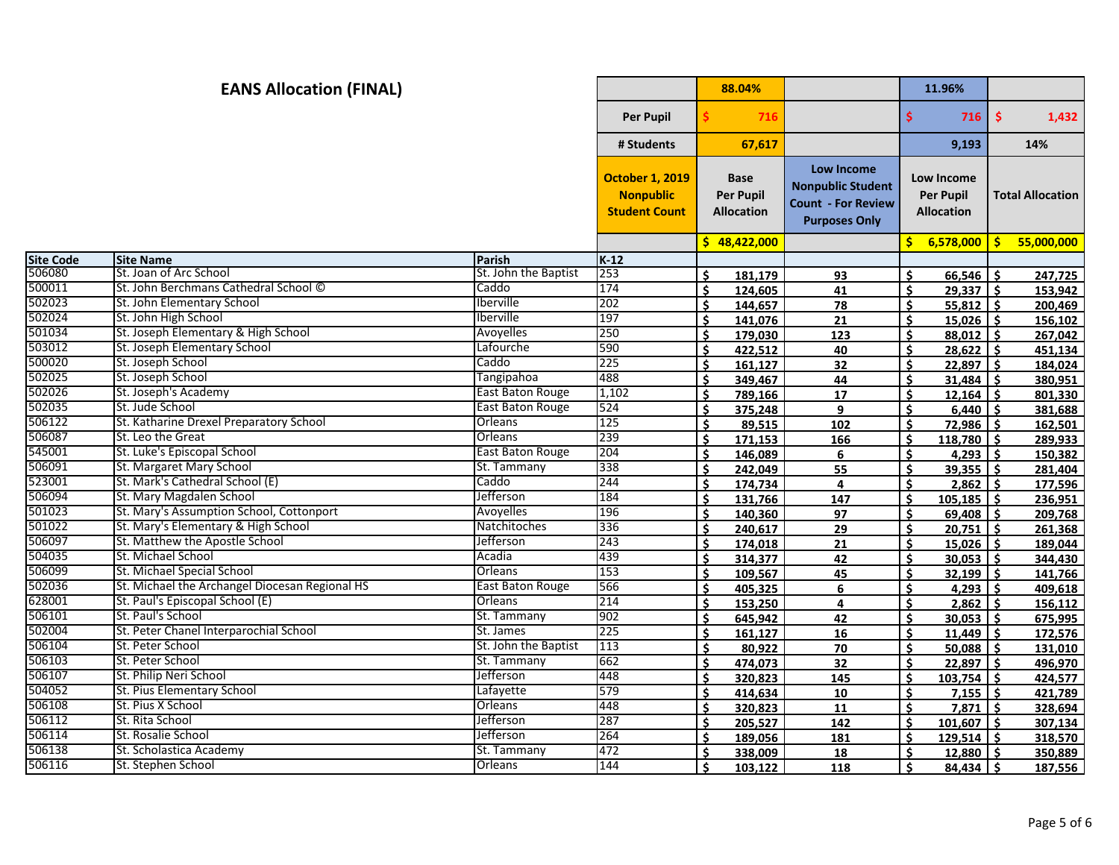## **88.04% 11.96% Per Pupil \$ 716 \$ 716 \$ 1,432 # Students 67,617 9,193 14% October 1, 2019 Nonpublic Student Count Base Per Pupil Allocation Low Income Nonpublic Student Count - For Review Purposes Only Low Income Per Pupil Allocation Total Allocation \$ 48,422,000 \$ 6,578,000 \$ 55,000,000 Site Code Site Name Parish K-12 EANS Allocation (FINAL)** St. Joan of Arc School St. John the Baptist 253 **\$ 181,179 93 \$ 66,546 \$ 247,725** St. John Berchmans Cathedral School © Caddo 174 **\$ 124,605 41 \$ 29,337 \$ 153,942** St. John Elementary School Iberville 202 **\$ 144,657 78 \$ 55,812 \$ 200,469** St. John High School Iberville 197 **\$ 141,076 21 \$ 15,026 \$ 156,102** St. Joseph Elementary & High School Avoyelles 250 **\$ 179,030 123 \$ 88,012 \$ 267,042** St. Joseph Elementary School Lafourche 590 **\$ 422,512 40 \$ 28,622 \$ 451,134** St. Joseph School Caddo 225 **\$ 161,127 32 \$ 22,897 \$ 184,024** St. Joseph School Tangipahoa 488 **\$ 349,467 44 \$ 31,484 \$ 380,951** St. Joseph's Academy East Baton Rouge 1,102 **\$ 789,166 17 \$ 12,164 \$ 801,330** St. Jude School East Baton Rouge 524 **\$ 375,248 9 \$ 6,440 \$ 381,688** St. Katharine Drexel Preparatory School Orleans 125 **\$ 89,515 102 \$ 72,986 \$ 162,501** St. Leo the Great Orleans 239 **\$ 171,153 166 \$ 118,780 \$ 289,933** St. Luke's Episcopal School East Baton Rouge 204 **\$ 146,089 6 \$ 4,293 \$ 150,382** St. Margaret Mary School St. Tammany 338 **\$ 242,049 55 \$ 39,355 \$ 281,404** St. Mark's Cathedral School (E) Caddo 244 **\$ 174,734 4 \$ 2,862 \$ 177,596** St. Mary Magdalen School Jefferson 184 **\$ 131,766 147 \$ 105,185 \$ 236,951** St. Mary's Assumption School, Cottonport Avoyelles 196 **\$ 140,360 97 \$ 69,408 \$ 209,768** St. Mary's Elementary & High School Natchitoches 336 **\$ 240,617 29 \$ 20,751 \$ 261,368** St. Matthew the Apostle School Jefferson 243 **\$ 174,018 21 \$ 15,026 \$ 189,044** St. Michael School Acadia 439 **\$ 314,377 42 \$ 30,053 \$ 344,430** St. Michael Special School Orleans 153 **\$ 109,567 45 \$ 32,199 \$ 141,766** St. Michael the Archangel Diocesan Regional HS East Baton Rouge 566 **\$ 405,325 6 \$ 4,293 \$ 409,618** St. Paul's Episcopal School (E) Orleans 214 **\$ 153,250 4 \$ 2,862 \$ 156,112** St. Paul's School St. Tammany 902 **\$ 645,942 42 \$ 30,053 \$ 675,995** St. Peter Chanel Interparochial School St. James 225 **\$ 161,127 16 \$ 11,449 \$ 172,576** St. Peter School St. John the Baptist 113 **\$ 80,922 70 \$ 50,088 \$ 131,010** St. Peter School St. Tammany 662 **\$ 474,073 32 \$ 22,897 \$ 496,970** St. Philip Neri School Jefferson 448 **\$ 320,823 145 \$ 103,754 \$ 424,577** St. Pius Elementary School Lafayette 579 **\$ 414,634 10 \$ 7,155 \$ 421,789** St. Pius X School Orleans 448 **\$ 320,823 11 \$ 7,871 \$ 328,694**

 St. Rita School Jefferson 287 **\$ 205,527 142 \$ 101,607 \$ 307,134** St. Rosalie School Jefferson 264 **\$ 189,056 181 \$ 129,514 \$ 318,570** St. Scholastica Academy St. Tammany 472 **\$ 338,009 18 \$ 12,880 \$ 350,889** St. Stephen School Orleans 144 **\$ 103,122 118 \$ 84,434 \$ 187,556**